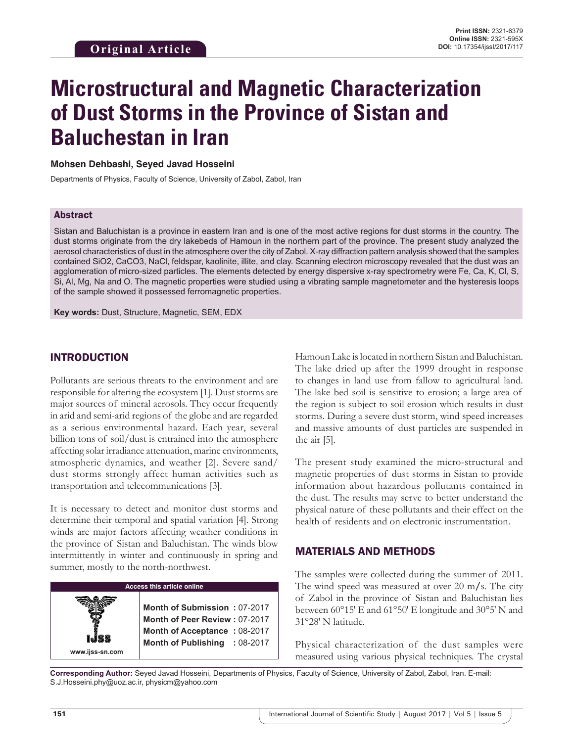# **Microstructural and Magnetic Characterization of Dust Storms in the Province of Sistan and Baluchestan in Iran**

#### **Mohsen Dehbashi, Seyed Javad Hosseini**

Departments of Physics, Faculty of Science, University of Zabol, Zabol, Iran

#### Abstract

Sistan and Baluchistan is a province in eastern Iran and is one of the most active regions for dust storms in the country. The dust storms originate from the dry lakebeds of Hamoun in the northern part of the province. The present study analyzed the aerosol characteristics of dust in the atmosphere over the city of Zabol. X-ray diffraction pattern analysis showed that the samples contained SiO2, CaCO3, NaCl, feldspar, kaolinite, illite, and clay. Scanning electron microscopy revealed that the dust was an agglomeration of micro-sized particles. The elements detected by energy dispersive x-ray spectrometry were Fe, Ca, K, Cl, S, Si, Al, Mg, Na and O. The magnetic properties were studied using a vibrating sample magnetometer and the hysteresis loops of the sample showed it possessed ferromagnetic properties.

**Key words:** Dust, Structure, Magnetic, SEM, EDX

## INTRODUCTION

Pollutants are serious threats to the environment and are responsible for altering the ecosystem [1]. Dust storms are major sources of mineral aerosols. They occur frequently in arid and semi-arid regions of the globe and are regarded as a serious environmental hazard. Each year, several billion tons of soil/dust is entrained into the atmosphere affecting solar irradiance attenuation, marine environments, atmospheric dynamics, and weather [2]. Severe sand/ dust storms strongly affect human activities such as transportation and telecommunications [3].

It is necessary to detect and monitor dust storms and determine their temporal and spatial variation [4]. Strong winds are major factors affecting weather conditions in the province of Sistan and Baluchistan. The winds blow intermittently in winter and continuously in spring and summer, mostly to the north-northwest.

#### **Access this article online**

**Month of Submission :** 07-2017 **Month of Peer Review :** 07-2017 **Month of Acceptance :** 08-2017 **Month of Publishing :** 08-2017 Hamoun Lake is located in northern Sistan and Baluchistan. The lake dried up after the 1999 drought in response to changes in land use from fallow to agricultural land. The lake bed soil is sensitive to erosion; a large area of the region is subject to soil erosion which results in dust storms. During a severe dust storm, wind speed increases and massive amounts of dust particles are suspended in the air [5].

The present study examined the micro-structural and magnetic properties of dust storms in Sistan to provide information about hazardous pollutants contained in the dust. The results may serve to better understand the physical nature of these pollutants and their effect on the health of residents and on electronic instrumentation.

## MATERIALS AND METHODS

The samples were collected during the summer of 2011. The wind speed was measured at over 20 m**/**s. The city of Zabol in the province of Sistan and Baluchistan lies between 60°15′ E and 61°50′ E longitude and 30°5′ N and 31°28′ N latitude.

Physical characterization of the dust samples were measured using various physical techniques. The crystal

**Corresponding Author:** Seyed Javad Hosseini, Departments of Physics, Faculty of Science, University of Zabol, Zabol, Iran. E-mail: S.J.Hosseini.phy@uoz.ac.ir, physicm@yahoo.com

**www.ijss-sn.com**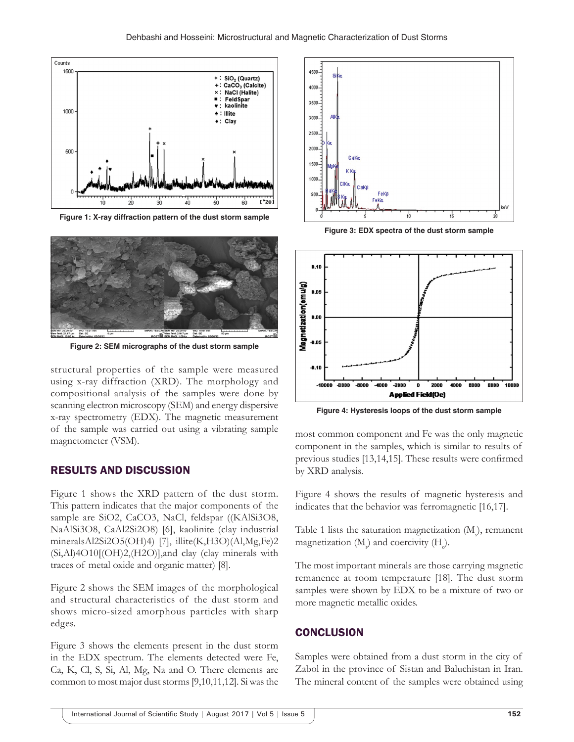

**Figure 1: X-ray diffraction pattern of the dust storm sample**



**Figure 2: SEM micrographs of the dust storm sample**

structural properties of the sample were measured using x-ray diffraction (XRD). The morphology and compositional analysis of the samples were done by scanning electron microscopy (SEM) and energy dispersive x-ray spectrometry (EDX). The magnetic measurement of the sample was carried out using a vibrating sample magnetometer (VSM).

#### RESULTS AND DISCUSSION

Figure 1 shows the XRD pattern of the dust storm. This pattern indicates that the major components of the sample are SiO2, CaCO3, NaCl, feldspar ((KAlSi3O8, NaAlSi3O8, CaAl2Si2O8) [6], kaolinite (clay industrial mineralsAl2Si2O5(OH)4) [7], illite(K,H3O)(Al,Mg,Fe)2  $(Si, A1)4O10[(OH)2, (H2O)]$ , and clay (clay minerals with traces of metal oxide and organic matter) [8].

Figure 2 shows the SEM images of the morphological and structural characteristics of the dust storm and shows micro-sized amorphous particles with sharp edges.

Figure 3 shows the elements present in the dust storm in the EDX spectrum. The elements detected were Fe, Ca, K, Cl, S, Si, Al, Mg, Na and O. There elements are common to most major dust storms [9,10,11,12]. Si was the



**Figure 3: EDX spectra of the dust storm sample**



**Figure 4: Hysteresis loops of the dust storm sample**

most common component and Fe was the only magnetic component in the samples, which is similar to results of previous studies [13,14,15]. These results were confirmed by XRD analysis.

Figure 4 shows the results of magnetic hysteresis and indicates that the behavior was ferromagnetic [16,17].

Table 1 lists the saturation magnetization  $(M_{\rm g})$ , remanent magnetization  $(M_p)$  and coercivity  $(H_q)$ .

The most important minerals are those carrying magnetic remanence at room temperature [18]. The dust storm samples were shown by EDX to be a mixture of two or more magnetic metallic oxides.

#### **CONCLUSION**

Samples were obtained from a dust storm in the city of Zabol in the province of Sistan and Baluchistan in Iran. The mineral content of the samples were obtained using